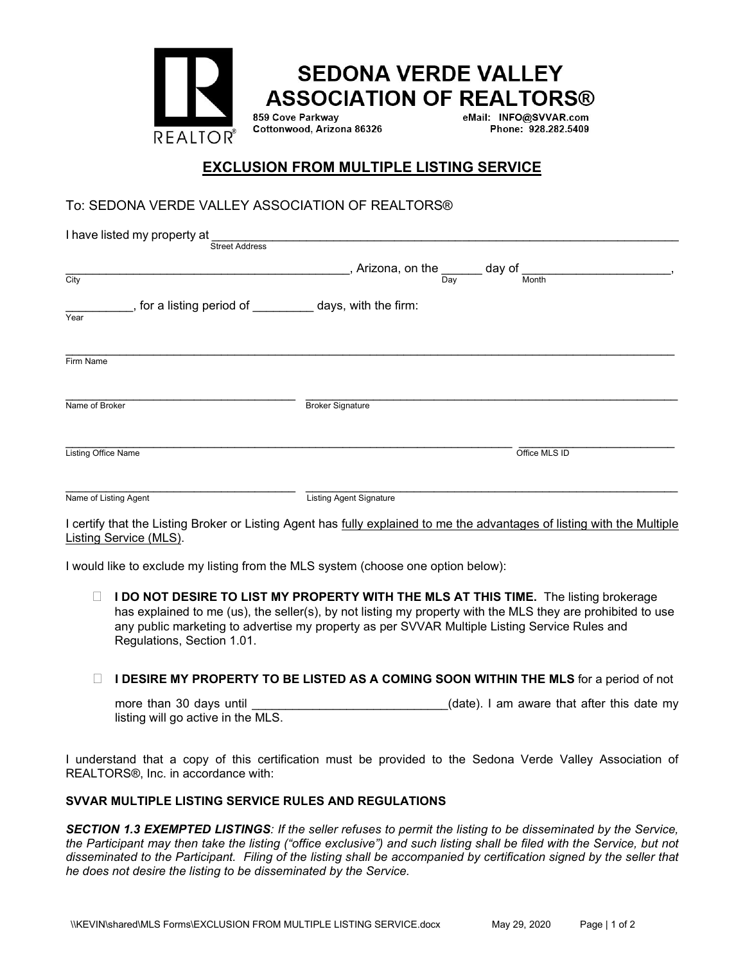

# **EXCLUSION FROM MULTIPLE LISTING SERVICE**

## To: SEDONA VERDE VALLEY ASSOCIATION OF REALTORS®

| I have listed my property at<br><b>Street Address</b>             |                                                  |     |                 |  |
|-------------------------------------------------------------------|--------------------------------------------------|-----|-----------------|--|
| City                                                              | $\overline{a}$ , Arizona, on the $\underline{a}$ | Day | day of<br>Month |  |
| _, for a listing period of _________ days, with the firm:<br>Year |                                                  |     |                 |  |
| Firm Name                                                         |                                                  |     |                 |  |
| Name of Broker                                                    | <b>Broker Signature</b>                          |     |                 |  |
| Listing Office Name                                               |                                                  |     | Office MLS ID   |  |
| Name of Listing Agent                                             | <b>Listing Agent Signature</b>                   |     |                 |  |

I certify that the Listing Broker or Listing Agent has fully explained to me the advantages of listing with the Multiple Listing Service (MLS).

I would like to exclude my listing from the MLS system (choose one option below):

□ **I DO NOT DESIRE TO LIST MY PROPERTY WITH THE MLS AT THIS TIME.** The listing brokerage has explained to me (us), the seller(s), by not listing my property with the MLS they are prohibited to use any public marketing to advertise my property as per SVVAR Multiple Listing Service Rules and Regulations, Section 1.01.

#### **IDESIRE MY PROPERTY TO BE LISTED AS A COMING SOON WITHIN THE MLS** for a period of not

| more than 30 days until            |  | (date). I am aware that after this date my |  |  |  |
|------------------------------------|--|--------------------------------------------|--|--|--|
| listing will go active in the MLS. |  |                                            |  |  |  |

I understand that a copy of this certification must be provided to the Sedona Verde Valley Association of REALTORS®, Inc. in accordance with:

#### **SVVAR MULTIPLE LISTING SERVICE RULES AND REGULATIONS**

*SECTION 1.3 EXEMPTED LISTINGS: If the seller refuses to permit the listing to be disseminated by the Service, the Participant may then take the listing ("office exclusive") and such listing shall be filed with the Service, but not disseminated to the Participant. Filing of the listing shall be accompanied by certification signed by the seller that he does not desire the listing to be disseminated by the Service.*